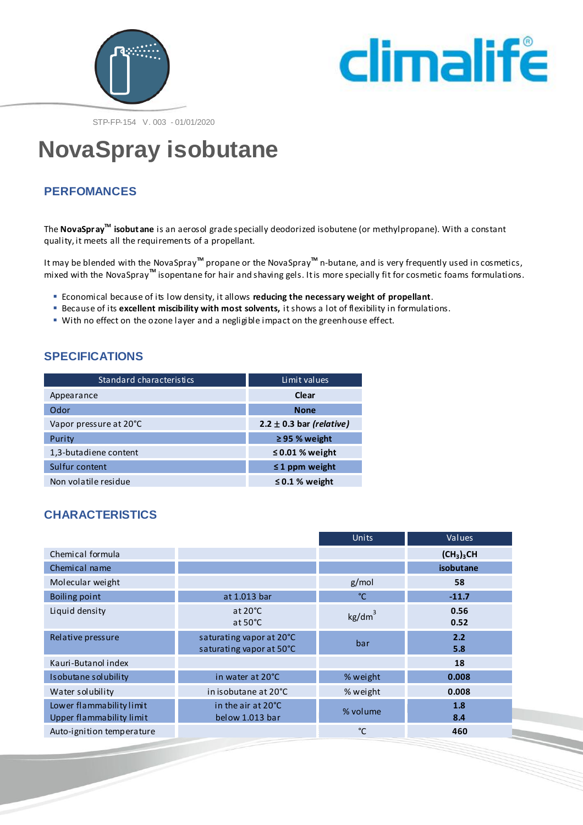



STP-FP-154 V. 003 - 01/01/2020

# **NovaSpray isobutane**

# **PERFOMANCES**

The **NovaSpray<sup>™</sup> isobut ane** is an aerosol grade specially deodorized isobutene (or methylpropane). With a constant quality, it meets all the requirements of a propellant.

It may be blended with the NovaSpray<sup>™</sup> propane or the NovaSpray<sup>™</sup> n-butane, and is very frequently used in cosmetics, mixed with the NovaSpray**TM** isopentane for hair and shaving gels. It is more specially fit for cosmetic foams formulations.

- Economical because of its low density, it allows **reducing the necessary weight of propellant**.
- **Because of its excellent miscibility with most solvents, it shows a lot of flexibility in formulations.**
- With no effect on the ozone layer and a negligible impact on the greenhouse effect.

## **SPECIFICATIONS**

| Standard characteristics | Limit values                 |
|--------------------------|------------------------------|
| Appearance               | Clear                        |
| Odor                     | <b>None</b>                  |
| Vapor pressure at 20°C   | 2.2 $\pm$ 0.3 bar (relative) |
| Purity                   | ≥ 95 % weight                |
| 1,3-butadiene content    | $\leq$ 0.01 % weight         |
| Sulfur content           | $\leq$ 1 ppm weight          |
| Non volatile residue     | $\leq$ 0.1 % weight          |

## **CHARACTERISTICS**

|                                                      |                                                      | <b>Units</b>       | Values                             |
|------------------------------------------------------|------------------------------------------------------|--------------------|------------------------------------|
| Chemical formula                                     |                                                      |                    | (CH <sub>3</sub> ) <sub>3</sub> CH |
| Chemical name                                        |                                                      |                    | isobutane                          |
| Molecular weight                                     |                                                      | g/mol              | 58                                 |
| Boiling point                                        | at 1.013 bar                                         | °C                 | $-11.7$                            |
| Liquid density                                       | at $20^{\circ}$ C<br>at $50^{\circ}$ C               | kg/dm <sup>3</sup> | 0.56<br>0.52                       |
| Relative pressure                                    | saturating vapor at 20°C<br>saturating vapor at 50°C | bar                | 2.2<br>5.8                         |
| Kauri-Butanol index                                  |                                                      |                    | 18                                 |
| Isobutane solubility                                 | in water at 20°C                                     | % weight           | 0.008                              |
| Water solubility                                     | in is obutane at 20°C                                | % weight           | 0.008                              |
| Lower flammability limit<br>Upper flammability limit | in the air at 20°C<br>below 1.013 bar                | % volume           | 1.8<br>8.4                         |
| Auto-ignition temperature                            |                                                      | °C                 | 460                                |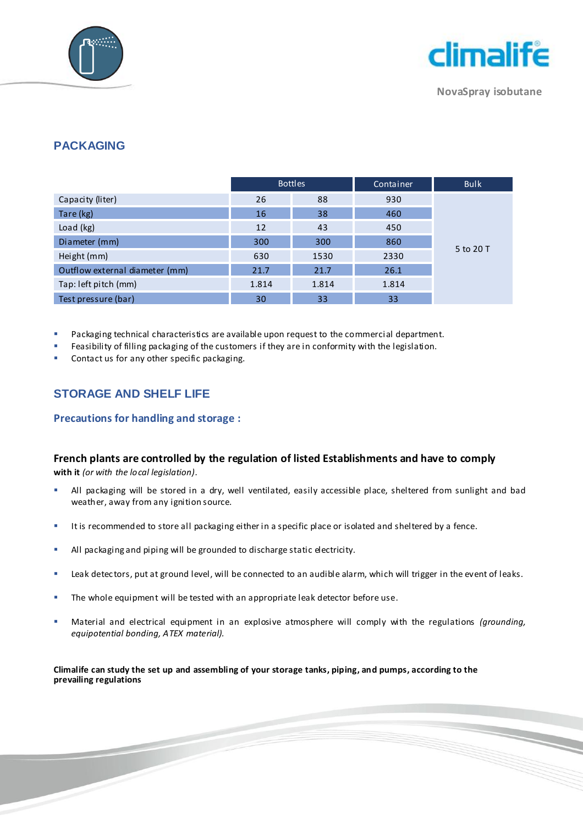



**NovaSpray isobutane**

## **PACKAGING**

|                                | <b>Bottles</b> |       | Container | <b>Bulk</b> |
|--------------------------------|----------------|-------|-----------|-------------|
| Capacity (liter)               | 26             | 88    | 930       |             |
| Tare (kg)                      | 16             | 38    | 460       |             |
| Load (kg)                      | 12             | 43    | 450       |             |
| Diameter (mm)                  | 300            | 300   | 860       |             |
| Height (mm)                    | 630            | 1530  | 2330      | 5 to 20 T   |
| Outflow external diameter (mm) | 21.7           | 21.7  | 26.1      |             |
| Tap: left pitch (mm)           | 1.814          | 1.814 | 1.814     |             |
| Test pressure (bar)            | 30             | 33    | 33        |             |

Packaging technical characteristics are available upon request to the commercial department.

Feasibility of filling packaging of the customers if they are in conformity with the legislation.

Contact us for any other specific packaging.

# **STORAGE AND SHELF LIFE**

#### **Precautions for handling and storage :**

#### **French plants are controlled by the regulation of listed Establishments and have to comply**

**with it** *(or with the local legislation).*

- All packaging will be stored in a dry, well ventilated, easily accessible place, sheltered from sunlight and bad weather, away from any ignition source.
- It is recommended to store all packaging either in a specific place or isolated and sheltered by a fence.
- All packaging and piping will be grounded to discharge static electricity.
- **EXECT A LEAK detectors, put at ground level, will be connected to an audible alarm, which will trigger in the event of leaks.**
- **The whole equipment will be tested with an appropriate leak detector before use.**
- Material and electrical equipment in an explosive atmosphere will comply with the regulations *(grounding, equipotential bonding, ATEX material).*

**Climalife can study the set up and assembling of your storage tanks, piping, and pumps, according to the prevailing regulations**